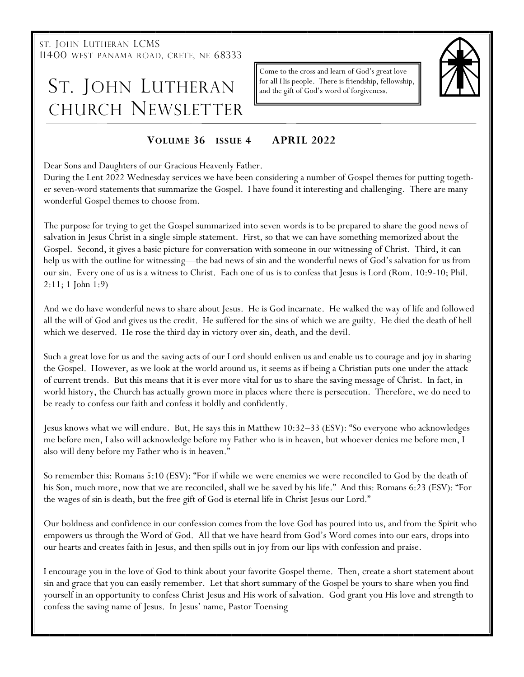ST. JOHN LUTHERAN LCMS 11400 WEST PANAMA ROAD, CRETE, NE 68333

# ST. JOHN LUTHERAN CHURCH NEWSLETTER

Come to the cross and learn of God's great love for all His people. There is friendship, fellowship, and the gift of God's word of forgiveness.



## **VOLUME 36 ISSUE 4 APRIL 2022**

Dear Sons and Daughters of our Gracious Heavenly Father.

During the Lent 2022 Wednesday services we have been considering a number of Gospel themes for putting together seven-word statements that summarize the Gospel. I have found it interesting and challenging. There are many wonderful Gospel themes to choose from.

The purpose for trying to get the Gospel summarized into seven words is to be prepared to share the good news of salvation in Jesus Christ in a single simple statement. First, so that we can have something memorized about the Gospel. Second, it gives a basic picture for conversation with someone in our witnessing of Christ. Third, it can help us with the outline for witnessing—the bad news of sin and the wonderful news of God's salvation for us from our sin. Every one of us is a witness to Christ. Each one of us is to confess that Jesus is Lord (Rom. 10:9-10; Phil. 2:11; 1 John 1:9)

And we do have wonderful news to share about Jesus. He is God incarnate. He walked the way of life and followed all the will of God and gives us the credit. He suffered for the sins of which we are guilty. He died the death of hell which we deserved. He rose the third day in victory over sin, death, and the devil.

Such a great love for us and the saving acts of our Lord should enliven us and enable us to courage and joy in sharing the Gospel. However, as we look at the world around us, it seems as if being a Christian puts one under the attack of current trends. But this means that it is ever more vital for us to share the saving message of Christ. In fact, in world history, the Church has actually grown more in places where there is persecution. Therefore, we do need to be ready to confess our faith and confess it boldly and confidently.

Jesus knows what we will endure. But, He says this in Matthew 10:32–33 (ESV): "So everyone who acknowledges me before men, I also will acknowledge before my Father who is in heaven, but whoever denies me before men, I also will deny before my Father who is in heaven."

So remember this: Romans 5:10 (ESV): "For if while we were enemies we were reconciled to God by the death of his Son, much more, now that we are reconciled, shall we be saved by his life." And this: Romans 6:23 (ESV): "For the wages of sin is death, but the free gift of God is eternal life in Christ Jesus our Lord."

Our boldness and confidence in our confession comes from the love God has poured into us, and from the Spirit who empowers us through the Word of God. All that we have heard from God's Word comes into our ears, drops into our hearts and creates faith in Jesus, and then spills out in joy from our lips with confession and praise.

I encourage you in the love of God to think about your favorite Gospel theme. Then, create a short statement about sin and grace that you can easily remember. Let that short summary of the Gospel be yours to share when you find yourself in an opportunity to confess Christ Jesus and His work of salvation. God grant you His love and strength to confess the saving name of Jesus. In Jesus' name, Pastor Toensing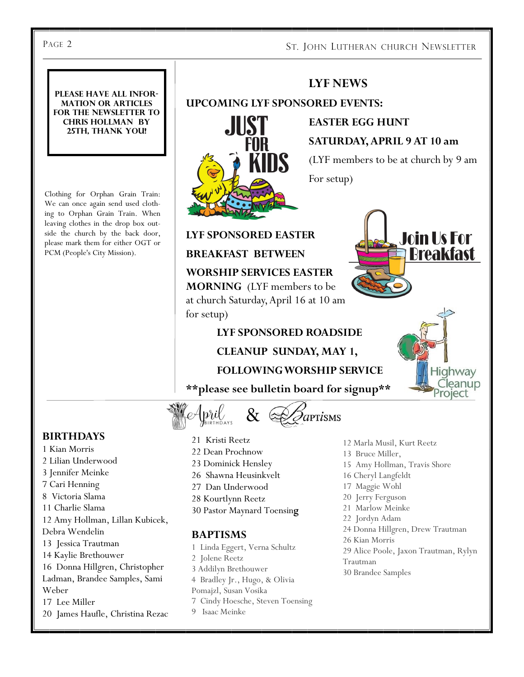## PAGE 2 ST. JOHN LUTHERAN CHURCH NEWSLETTER

#### **Please have all information or articles for the newsletter to Chris Hollman by 25th, thank you!**

Clothing for Orphan Grain Train: We can once again send used clothing to Orphan Grain Train. When leaving clothes in the drop box outside the church by the back door, please mark them for either OGT or PCM (People's City Mission).



## **LYF NEWS**

**UPCOMING LYF SPONSORED EVENTS:**

 **EASTER EGG HUNT SATURDAY, APRIL 9 AT 10 am**

(LYF members to be at church by 9 am

For setup)



Highway leanup Project

**LYF SPONSORED EASTER** 

**BREAKFAST BETWEEN** 

**WORSHIP SERVICES EASTER MORNING** (LYF members to be at church Saturday, April 16 at 10 am for setup)

#### **LYF SPONSORED ROADSIDE**

## **CLEANUP SUNDAY, MAY 1,**

## **FOLLOWING WORSHIP SERVICE**

**\*\*please see bulletin board for signup\*\***



### **BIRTHDAYS**

- 1 Kian Morris
- 2 Lilian Underwood
- 3 Jennifer Meinke
- 7 Cari Henning
- 8 Victoria Slama
- 11 Charlie Slama
- 12 Amy Hollman, Lillan Kubicek,
- Debra Wendelin
- 13 Jessica Trautman
- 14 Kaylie Brethouwer
- 16 Donna Hillgren, Christopher
- Ladman, Brandee Samples, Sami Weber
- 17 Lee Miller
- 
- 21 Kristi Reetz
- 22 Dean Prochnow
- 23 Dominick Hensley
- 26 Shawna Heusinkvelt
- 27 Dan Underwood
- 28 Kourtlynn Reetz
- 30 Pastor Maynard Toensin**g**

#### **BAPTISMS**

- 1 Linda Eggert, Verna Schultz
- 2 Jolene Reetz

9 Isaac Meinke

3 Addilyn Brethouwer

Pomajzl, Susan Vosika

4 Bradley Jr., Hugo, & Olivia

7 Cindy Hoesche, Steven Toensing

- 
- 
- 20 James Haufle, Christina Rezac
- 12 Marla Musil, Kurt Reetz
- 13 Bruce Miller,
- 15 Amy Hollman, Travis Shore
- 16 Cheryl Langfeldt
- 17 Maggie Wohl
- 20 Jerry Ferguson
- 21 Marlow Meinke
- 22 Jordyn Adam
- 24 Donna Hillgren, Drew Trautman
- 26 Kian Morris
- 29 Alice Poole, Jaxon Trautman, Rylyn
- Trautman
	- 30 Brandee Samples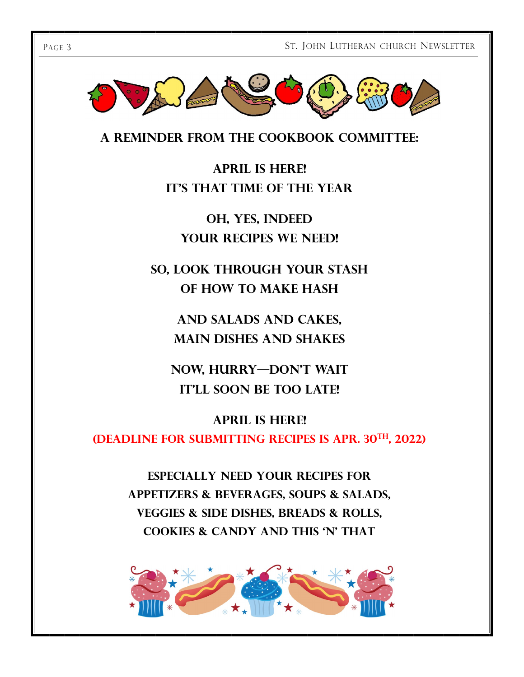

**A reminder from the cookbook committee:**

**April is here! IT'S THAT TIME OF THE YEAR** 

**Oh, yes, indeed Your recipes we need!**

**So, look through your stash of how to make hash**

> **And salads and cakes, main dishes and shakes**

**NOW, HURRY-DON'T WAIT IT'LL SOON BE TOO LATE!** 

**April is here! (Deadline for submitting recipes is Apr. 30th, 2022)**

> **Especially need your recipes for Appetizers & Beverages, Soups & Salads, Veggies & Side Dishes, Breads & Rolls, Cookies & Candy and This 'n' That**

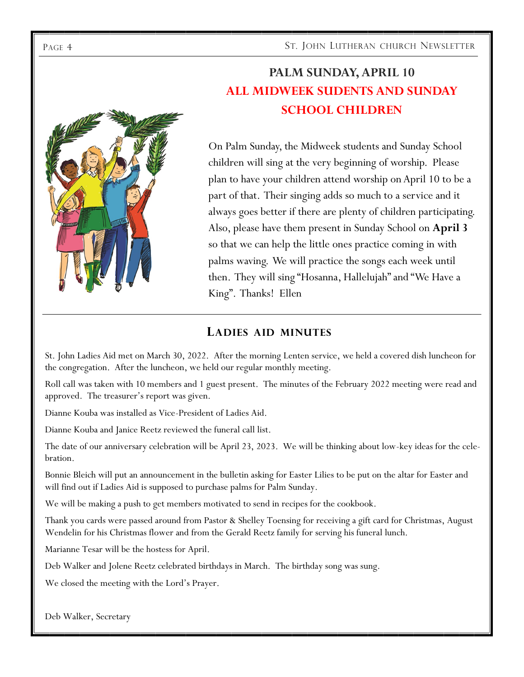PAGE 4 ST. JOHN LUTHERAN CHURCH NEWSLETTER



**PALM SUNDAY, APRIL 10 ALL MIDWEEK SUDENTS AND SUNDAY SCHOOL CHILDREN**

On Palm Sunday, the Midweek students and Sunday School children will sing at the very beginning of worship. Please plan to have your children attend worship on April 10 to be a part of that. Their singing adds so much to a service and it always goes better if there are plenty of children participating. Also, please have them present in Sunday School on **April 3**  so that we can help the little ones practice coming in with palms waving. We will practice the songs each week until then. They will sing "Hosanna, Hallelujah" and "We Have a King". Thanks! Ellen

## **LADIES AID MINUTES**

St. John Ladies Aid met on March 30, 2022. After the morning Lenten service, we held a covered dish luncheon for the congregation. After the luncheon, we held our regular monthly meeting.

Roll call was taken with 10 members and 1 guest present. The minutes of the February 2022 meeting were read and approved. The treasurer's report was given.

Dianne Kouba was installed as Vice-President of Ladies Aid.

Dianne Kouba and Janice Reetz reviewed the funeral call list.

The date of our anniversary celebration will be April 23, 2023. We will be thinking about low-key ideas for the celebration.

Bonnie Bleich will put an announcement in the bulletin asking for Easter Lilies to be put on the altar for Easter and will find out if Ladies Aid is supposed to purchase palms for Palm Sunday.

We will be making a push to get members motivated to send in recipes for the cookbook.

Thank you cards were passed around from Pastor & Shelley Toensing for receiving a gift card for Christmas, August Wendelin for his Christmas flower and from the Gerald Reetz family for serving his funeral lunch.

Marianne Tesar will be the hostess for April.

Deb Walker and Jolene Reetz celebrated birthdays in March. The birthday song was sung.

We closed the meeting with the Lord's Prayer.

Deb Walker, Secretary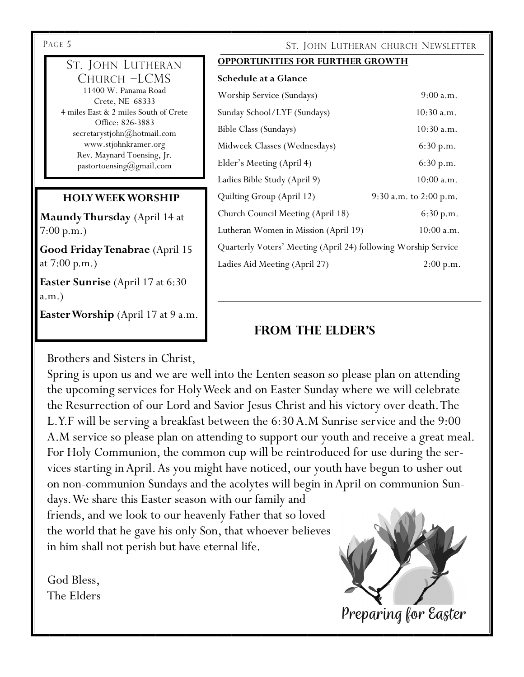#### ST. JOHN LUTHERAN CHURCH –LCMS 11400 W. Panama Road Crete, NE 68333

4 miles East & 2 miles South of Crete Office: 826-3883 secretarystjohn@hotmail.com www.stjohnkramer.org Rev. Maynard Toensing, Jr. pastortoensing@gmail.com

## **HOLY WEEK WORSHIP**

**Maundy Thursday** (April 14 at 7:00 p.m.)

**Good Friday Tenabrae** (April 15 at 7:00 p.m.)

**Easter Sunrise** (April 17 at 6:30 a.m.)

Easter Worship (April 17 at 9 a.m.

Brothers and Sisters in Christ,

# PAGE 5 ST. JOHN LUTHERAN CHURCH NEWSLETTER

#### **OPPORTUNITIES FOR FURTHER GROWTH**

| Schedule at a Glance |  |  |
|----------------------|--|--|
|----------------------|--|--|

| Worship Service (Sundays)                                      | 9:00 a.m.                  |  |
|----------------------------------------------------------------|----------------------------|--|
| Sunday School/LYF (Sundays)                                    | 10:30 a.m.                 |  |
| Bible Class (Sundays)                                          | $10:30$ a.m.               |  |
| Midweek Classes (Wednesdays)                                   | 6:30 p.m.                  |  |
| Elder's Meeting (April 4)                                      | 6:30 p.m.                  |  |
| Ladies Bible Study (April 9)                                   | $10:00$ a.m.               |  |
| Quilting Group (April 12)                                      | $9:30$ a.m. to $2:00$ p.m. |  |
| Church Council Meeting (April 18)                              | 6:30 p.m.                  |  |
| Lutheran Women in Mission (April 19)                           | $10:00$ a.m.               |  |
| Quarterly Voters' Meeting (April 24) following Worship Service |                            |  |
| Ladies Aid Meeting (April 27)                                  | 2:00 p.m.                  |  |

## **From the elder's**

Spring is upon us and we are well into the Lenten season so please plan on attending the upcoming services for Holy Week and on Easter Sunday where we will celebrate the Resurrection of our Lord and Savior Jesus Christ and his victory over death. The L.Y.F will be serving a breakfast between the 6:30 A.M Sunrise service and the 9:00 A.M service so please plan on attending to support our youth and receive a great meal. For Holy Communion, the common cup will be reintroduced for use during the services starting in April. As you might have noticed, our youth have begun to usher out on non-communion Sundays and the acolytes will begin in April on communion Sun-

days. We share this Easter season with our family and friends, and we look to our heavenly Father that so loved the world that he gave his only Son, that whoever believes in him shall not perish but have eternal life.

God Bless, The Elders